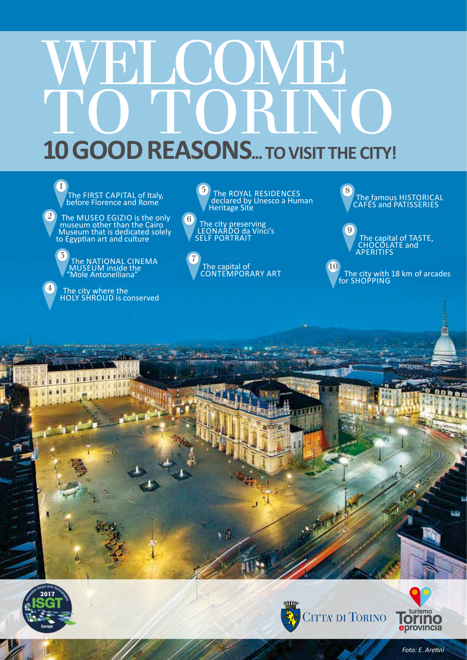# WELCOME TO TORINO **10 GOOD REASONS... TO VISIT THE CITY!**

The FIRST CAPITAL of Italy,<br>before Florence and Rome 1

 $2)$  The MUSEO EGIZIO is the only museum other than the Cairo Museum that is dedicated solely to Egyptian art and culture



 $\bigoplus$  The city where the HOLY SHROUD is conserved





contemporary art

The famous HISTORICAL<br>CAFÉS and PATISSERIES 8











0 D N

*Foto: E. Aretini*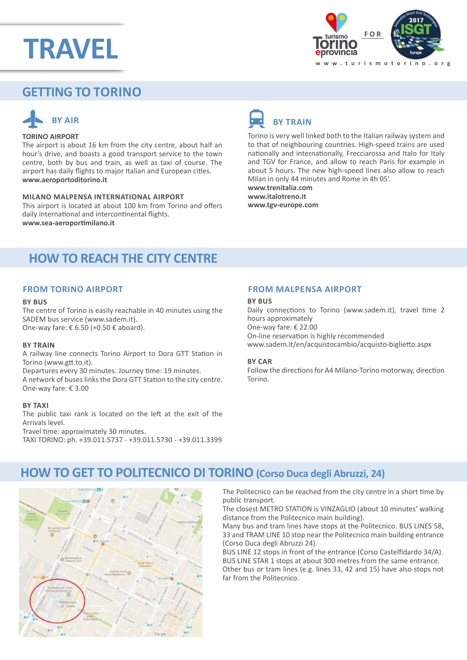## **TRAVEL**



## **GETTING TO Torino**



## **TORINO AIRPORT**

The airport is about 16 km from the city centre, about half an hour's drive, and boasts a good transport service to the town centre, both by bus and train, as well as taxi of course. The airport has daily flights to major Italian and European cities. **www.aeroportoditorino.it**

## **Milano Malpensa International Airport**

This airport is located at about 100 km from Torino and offers daily international and intercontinental flights. **www.sea-aeroportimilano.it** 



Torino is very well linked both to the Italian railway system and to that of neighbouring countries. High-speed trains are used nationally and internationally, Frecciarossa and Italo for Italy and TGV for France, and allow to reach Paris for example in about 5 hours. The new high-speed lines also allow to reach Milan in only 44 minutes and Rome in 4h 05'. **www.trenitalia.com**

**www.italotreno.it www.tgv-europe.com**

## **HOW TO REACH THE CITY CENTRE**

## **From TORINO airport**

### **By bus**

The centre of Torino is easily reachable in 40 minutes using the SADEM bus service (www.sadem.it). One-way fare: € 6.50 (+0.50 € aboard).

### **By train**

A railway line connects Torino Airport to Dora GTT Station in Torino (www.gtt.to.it).

Departures every 30 minutes. Journey time: 19 minutes. A network of buses links the Dora GTT Station to the city centre. One-way fare: € 3.00

#### **By taxi**

The public taxi rank is located on the left at the exit of the Arrivals level. Travel time: approximately 30 minutes.

TAXI TORINO: ph. +39.011.5737 - +39.011.5730 - +39.011.3399

## **From Malpensa airport**

#### **By bus**

Daily connections to Torino (www.sadem.it), travel time 2 hours approximately One-way fare: € 22.00 On-line reservation is highly recommended www.sadem.it/en/acquistocambio/acquisto-biglietto.aspx

#### **By car**

Follow the directions for A4 Milano-Torino motorway, direction Torino.

## **HOW TO GET TO POLITECNICO DI TORINO (Corso Duca degli Abruzzi, 24)**



The Politecnico can be reached from the city centre in a short time by public transport.

The closest METRO STATION is VINZAGLIO (about 10 minutes' walking distance from the Politecnico main building).

Many bus and tram lines have stops at the Politecnico. BUS LINES 58, 33 and TRAM LINE 10 stop near the Politecnico main building entrance (Corso Duca degli Abruzzi 24).

BUS LINE 12 stops in front of the entrance (Corso Castelfidardo 34/A). BUS LINE STAR 1 stops at about 300 metres from the same entrance. Other bus or tram lines (e.g. lines 33, 42 and 15) have also stops not far from the Politecnico.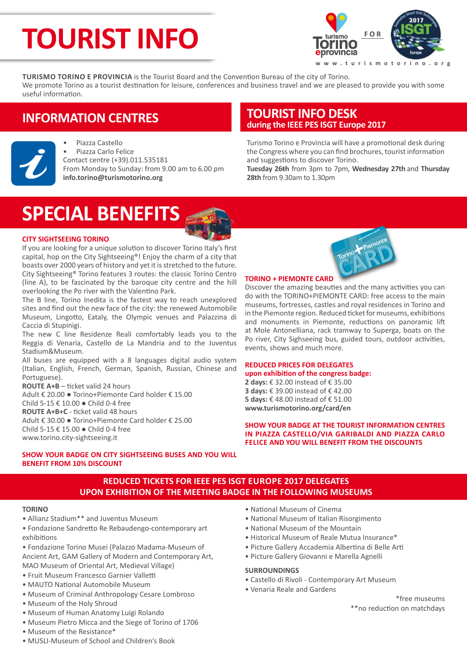## **TOURIST INFO**



**Turismo Torino e Provincia** is the Tourist Board and the Convention Bureau of the city of Torino. We promote Torino as a tourist destination for leisure, conferences and business travel and we are pleased to provide you with some useful information.

## **INFORMATION CENTRES**



• Piazza Castello • Piazza Carlo Felice Contact centre (+39).011.535181 From Monday to Sunday: from 9.00 am to 6.00 pm **info.torino@turismotorino.org**

## **TOURIST INFO DESK during the IEEE PES ISGT Europe 2017**

Turismo Torino e Provincia will have a promotional desk during the Congress where you can find brochures, tourist information and suggestions to discover Torino.

**Tuesday 26th** from 3pm to 7pm, **Wednesday 27th** and **Thursday 28th** from 9.30am to 1.30pm

## **SPECIAL BENEFITS**

## **CITY SIGHTSEEING TORINO**

If you are looking for a unique solution to discover Torino Italy's first capital, hop on the City Sightseeing®! Enjoy the charm of a city that boasts over 2000 years of history and yet it is stretched to the future. City Sightseeing® Torino features 3 routes: the classic Torino Centro (line A), to be fascinated by the baroque city centre and the hill overlooking the Po river with the Valentino Park.

The B line, Torino Inedita is the fastest way to reach unexplored sites and find out the new face of the city: the renewed Automobile Museum, Lingotto, Eataly, the Olympic venues and Palazzina di Caccia di Stupinigi.

The new C line Residenze Reali comfortably leads you to the Reggia di Venaria, Castello de La Mandria and to the Juventus Stadium&Museum.

All buses are equipped with a 8 languages digital audio system (Italian, English, French, German, Spanish, Russian, Chinese and Portuguese).

**ROUTE A+B** – ticket valid 24 hours Adult € 20.00 ● Torino+Piemonte Card holder € 15.00 Child 5-15 € 10.00 ● Child 0-4 free **ROUTE A+B+C** - ticket valid 48 hours Adult € 30.00 ● Torino+Piemonte Card holder € 25.00 Child 5-15 € 15.00 ● Child 0-4 free www.torino.city-sightseeing.it



## **TORINO + PIEMONTE CARD**

Discover the amazing beauties and the many activities you can do with the TORINO+PIEMONTE CARD: free access to the main museums, fortresses, castles and royal residences in Torino and in the Piemonte region. Reduced ticket for museums, exhibitions and monuments in Piemonte, reductions on panoramic lift at Mole Antonelliana, rack tramway to Superga, boats on the Po river, City Sighseeing bus, guided tours, outdoor activities, events, shows and much more.

## **REDUCED PRICES FOR DELEGATES upon exhibition of the congress badge:**

**2 days:** € 32.00 instead of € 35.00 **3 days:** € 39.00 instead of € 42.00 **5 days:** € 48.00 instead of € 51.00 **www.turismotorino.org/card/en**

**SHOW YOUR BADGE AT THE TOURIST INFORMATION CENTRES IN PIAZZA CASTELLO/VIA GARIBALDI AND PIAZZA CARLO FELICE AND YOU WILL BENEFIT FROM THE DISCOUNTS**

## **SHOW YOUR BADGE ON CITY SIGHTSEEING BUSES AND YOU WILL BENEFIT FROM 10% DISCOUNT**

## **REDUCED TICKETS FOR IEEE PES ISGT Europe 2017 DELEGATES UPON EXHIBITION OF THE MEETING BADGE IN THE FOLLOWING MUSEUMS**

## **TORINO**

- Allianz Stadium\*\* and Juventus Museum
- Fondazione Sandretto Re Rebaudengo-contemporary art exhibitions

• Fondazione Torino Musei (Palazzo Madama-Museum of Ancient Art, GAM Gallery of Modern and Contemporary Art, MAO Museum of Oriental Art, Medieval Village)

- Fruit Museum Francesco Garnier Valletti
- MAUTO National Automobile Museum
- Museum of Criminal Anthropology Cesare Lombroso
- Museum of the Holy Shroud
- Museum of Human Anatomy Luigi Rolando
- Museum Pietro Micca and the Siege of Torino of 1706
- Museum of the Resistance\*
- MUSLI-Museum of School and Children's Book
- National Museum of Cinema
- National Museum of Italian Risorgimento
- National Museum of the Mountain
- Historical Museum of Reale Mutua Insurance\*
- Picture Gallery Accademia Albertina di Belle Arti
- Picture Gallery Giovanni e Marella Agnelli

## **SURROUNDINGS**

- Castello di Rivoli Contemporary Art Museum
- Venaria Reale and Gardens

\*free museums \*\*no reduction on matchdays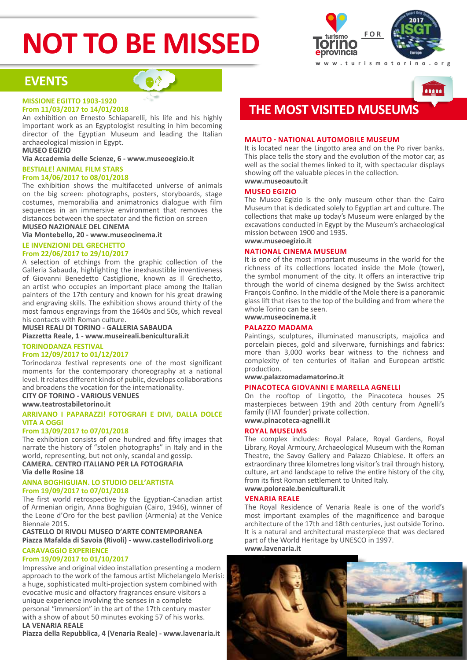## **NOT TO BE MISSED**



**A** 

## **EVENTS**

## **MISSIONE EGITTO 1903-1920 From 11/03/2017 to 14/01/2018**

An exhibition on Ernesto Schiaparelli, his life and his highly important work as an Egyptologist resulting in him becoming director of the Egyptian Museum and leading the Italian archaeological mission in Egypt.

**MUSEO EGIZIO**

**Via Accademia delle Scienze, 6 - www.museoegizio.it**

#### **BESTIALE! ANIMAL FILM STARS From 14/06/2017 to 08/01/2018**

The exhibition shows the multifaceted universe of animals on the big screen: photographs, posters, storyboards, stage costumes, memorabilia and animatronics dialogue with film sequences in an immersive environment that removes the distances between the spectator and the fiction on screen

**MUSEO NAZIONALE DEL CINEMA**

**Via Montebello, 20 - www.museocinema.it**

## **LE INVENZIONI DEL GRECHETTO**

## **From 22/06/2017 to 29/10/2017**

A selection of etchings from the graphic collection of the Galleria Sabauda, highlighting the inexhaustible inventiveness of Giovanni Benedetto Castiglione, known as Il Grechetto, an artist who occupies an important place among the Italian painters of the 17th century and known for his great drawing and engraving skills. The exhibition shows around thirty of the most famous engravings from the 1640s and 50s, which reveal his contacts with Roman culture.

**MUSEI REALI DI TORINO - GALLERIA SABAUDA Piazzetta Reale, 1 - www.museireali.beniculturali.it**

## **TORINODANZA FESTIVAL**

## **From 12/09/2017 to 01/12/2017**

Torinodanza festival represents one of the most significant moments for the contemporary choreography at a national level. It relates different kinds of public, develops collaborations and broadens the vocation for the internationality.

**CITY OF TORINO - VARIOUS VENUES** 

**www.teatrostabiletorino.it**

## **ARRIVANO I PAPARAZZI! FOTOGRAFI E DIVI, DALLA DOLCE VITA A OGGI**

### **From 13/09/2017 to 07/01/2018**

The exhibition consists of one hundred and fifty images that narrate the history of "stolen photographs" in Italy and in the world, representing, but not only, scandal and gossip. **CAMERA. CENTRO ITALIANO PER LA FOTOGRAFIA Via delle Rosine 18**

### **ANNA BOGHIGUIAN. LO STUDIO DELL'ARTISTA From 19/09/2017 to 07/01/2018**

The first world retrospective by the Egyptian-Canadian artist of Armenian origin, Anna Boghiguian (Cairo, 1946), winner of the Leone d'Oro for the best pavilion (Armenia) at the Venice Biennale 2015.

### **CASTELLO DI RIVOLI MUSEO D'ARTE CONTEMPORANEA Piazza Mafalda di Savoia (Rivoli) - www.castellodirivoli.org CARAVAGGIO EXPERIENCE**

## **From 19/09/2017 to 01/10/2017**

Impressive and original video installation presenting a modern approach to the work of the famous artist Michelangelo Merisi: a huge, sophisticated multi-projection system combined with evocative music and olfactory fragrances ensure visitors a unique experience involving the senses in a complete personal "immersion" in the art of the 17th century master with a show of about 50 minutes evoking 57 of his works. **LA VENARIA REALE**

**Piazza della Repubblica, 4 (Venaria Reale) - www.lavenaria.it**



## **MAUTO - NATIONAL AUTOMOBILE MUSEUM**

It is located near the Lingotto area and on the Po river banks. This place tells the story and the evolution of the motor car, as well as the social themes linked to it, with spectacular displays showing off the valuable pieces in the collection. **www.museoauto.it**

## **MUSEO EGIZIO**

The Museo Egizio is the only museum other than the Cairo Museum that is dedicated solely to Egyptian art and culture. The collections that make up today's Museum were enlarged by the excavations conducted in Egypt by the Museum's archaeological mission between 1900 and 1935.

## **www.museoegizio.it**

### **NATIONAL CINEMA MUSEUM**

It is one of the most important museums in the world for the richness of its collections located inside the Mole (tower), the symbol monument of the city. It offers an interactive trip through the world of cinema designed by the Swiss architect François Confino. In the middle of the Mole there is a panoramic glass lift that rises to the top of the building and from where the whole Torino can be seen. **www.museocinema.it** 

## **PALAZZO MADAMA**

Paintings, sculptures, illuminated manuscripts, majolica and porcelain pieces, gold and silverware, furnishings and fabrics: more than 3,000 works bear witness to the richness and complexity of ten centuries of Italian and European artistic production.

## **www.palazzomadamatorino.it**

## **PINACOTECA GIOVANNI E MARELLA AGNELLI**

On the rooftop of Lingotto, the Pinacoteca houses 25 masterpieces between 19th and 20th century from Agnelli's family (FIAT founder) private collection. **www.pinacoteca-agnelli.it**

## **ROYAL MUSEUMS**

The complex includes: Royal Palace, Royal Gardens, Royal Library, Royal Armoury, Archaeological Museum with the Roman Theatre, the Savoy Gallery and Palazzo Chiablese. It offers an extraordinary three kilometres long visitor's trail through history, culture, art and landscape to relive the entire history of the city, from its first Roman settlement to United Italy.

**www.poloreale.beniculturali.it**

### **VENARIA REALE**

The Royal Residence of Venaria Reale is one of the world's most important examples of the magnificence and baroque architecture of the 17th and 18th centuries, just outside Torino. It is a natural and architectural masterpiece that was declared part of the World Heritage by UNESCO in 1997. **www.lavenaria.it**